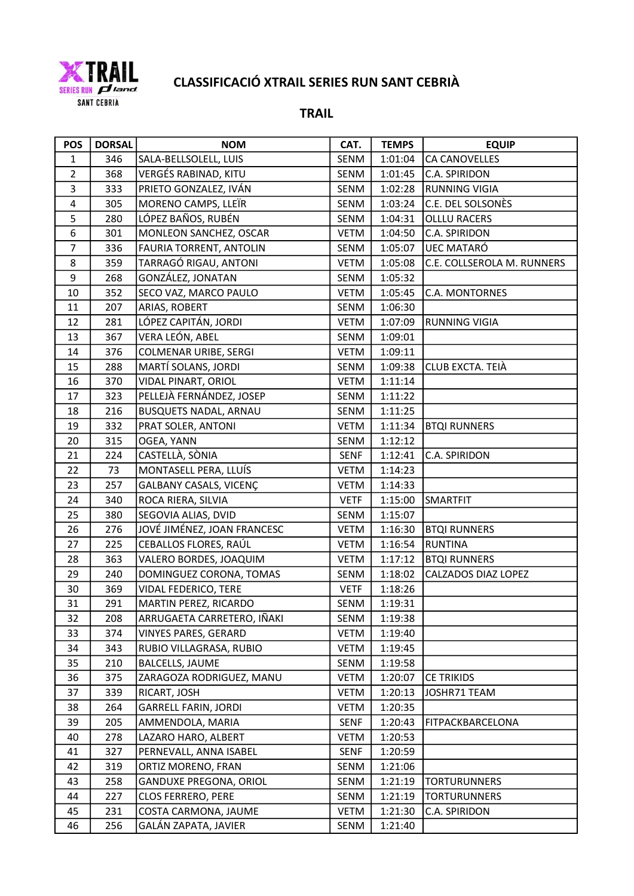

| <b>POS</b>     | <b>DORSAL</b> | <b>NOM</b>                   | CAT.        | <b>TEMPS</b> | <b>EQUIP</b>               |
|----------------|---------------|------------------------------|-------------|--------------|----------------------------|
| $\mathbf{1}$   | 346           | SALA-BELLSOLELL, LUIS        | SENM        | 1:01:04      | <b>CA CANOVELLES</b>       |
| $\overline{2}$ | 368           | VERGÉS RABINAD, KITU         | SENM        | 1:01:45      | C.A. SPIRIDON              |
| 3              | 333           | PRIETO GONZALEZ, IVÁN        | SENM        | 1:02:28      | <b>RUNNING VIGIA</b>       |
| 4              | 305           | MORENO CAMPS, LLEÏR          | SENM        | 1:03:24      | C.E. DEL SOLSONÈS          |
| 5              | 280           | LÓPEZ BAÑOS, RUBÉN           | SENM        | 1:04:31      | <b>OLLLU RACERS</b>        |
| 6              | 301           | MONLEON SANCHEZ, OSCAR       | <b>VETM</b> | 1:04:50      | C.A. SPIRIDON              |
| $\overline{7}$ | 336           | FAURIA TORRENT, ANTOLIN      | SENM        | 1:05:07      | UEC MATARÓ                 |
| 8              | 359           | TARRAGÓ RIGAU, ANTONI        | VETM        | 1:05:08      | C.E. COLLSEROLA M. RUNNERS |
| 9              | 268           | GONZÁLEZ, JONATAN            | SENM        | 1:05:32      |                            |
| 10             | 352           | SECO VAZ, MARCO PAULO        | <b>VETM</b> | 1:05:45      | C.A. MONTORNES             |
| 11             | 207           | ARIAS, ROBERT                | SENM        | 1:06:30      |                            |
| 12             | 281           | LÓPEZ CAPITÁN, JORDI         | <b>VETM</b> | 1:07:09      | <b>RUNNING VIGIA</b>       |
| 13             | 367           | VERA LEÓN, ABEL              | SENM        | 1:09:01      |                            |
| 14             | 376           | COLMENAR URIBE, SERGI        | <b>VETM</b> | 1:09:11      |                            |
| 15             | 288           | MARTÍ SOLANS, JORDI          | SENM        | 1:09:38      | CLUB EXCTA. TEIÀ           |
| 16             | 370           | VIDAL PINART, ORIOL          | <b>VETM</b> | 1:11:14      |                            |
| 17             | 323           | PELLEJÀ FERNÁNDEZ, JOSEP     | SENM        | 1:11:22      |                            |
| 18             | 216           | <b>BUSQUETS NADAL, ARNAU</b> | SENM        | 1:11:25      |                            |
| 19             | 332           | PRAT SOLER, ANTONI           | <b>VETM</b> | 1:11:34      | <b>BTQI RUNNERS</b>        |
| 20             | 315           | OGEA, YANN                   | SENM        | 1:12:12      |                            |
| 21             | 224           | CASTELLÀ, SÒNIA              | SENF        | 1:12:41      | C.A. SPIRIDON              |
| 22             | 73            | MONTASELL PERA, LLUÍS        | <b>VETM</b> | 1:14:23      |                            |
| 23             | 257           | GALBANY CASALS, VICENÇ       | <b>VETM</b> | 1:14:33      |                            |
| 24             | 340           | ROCA RIERA, SILVIA           | <b>VETF</b> | 1:15:00      | SMARTFIT                   |
| 25             | 380           | SEGOVIA ALIAS, DVID          | SENM        | 1:15:07      |                            |
| 26             | 276           | JOVÉ JIMÉNEZ, JOAN FRANCESC  | <b>VETM</b> | 1:16:30      | <b>BTQI RUNNERS</b>        |
| 27             | 225           | CEBALLOS FLORES, RAÚL        | VETM        | 1:16:54      | <b>RUNTINA</b>             |
| 28             | 363           | VALERO BORDES, JOAQUIM       | <b>VETM</b> | 1:17:12      | <b>BTQI RUNNERS</b>        |
| 29             | 240           | DOMINGUEZ CORONA, TOMAS      | SENM        | 1:18:02      | CALZADOS DIAZ LOPEZ        |
| 30             | 369           | VIDAL FEDERICO, TERE         | <b>VETF</b> | 1:18:26      |                            |
| 31             | 291           | MARTIN PEREZ, RICARDO        | SENM        | 1:19:31      |                            |
| 32             | 208           | ARRUGAETA CARRETERO, IÑAKI   | SENM        | 1:19:38      |                            |
| 33             | 374           | VINYES PARES, GERARD         | VETM        | 1:19:40      |                            |
| 34             | 343           | RUBIO VILLAGRASA, RUBIO      | VETM        | 1:19:45      |                            |
| 35             | 210           | <b>BALCELLS, JAUME</b>       | SENM        | 1:19:58      |                            |
| 36             | 375           | ZARAGOZA RODRIGUEZ, MANU     | VETM        | 1:20:07      | <b>CE TRIKIDS</b>          |
| 37             | 339           | RICART, JOSH                 | VETM        | 1:20:13      | JOSHR71 TEAM               |
| 38             | 264           | <b>GARRELL FARIN, JORDI</b>  | VETM        | 1:20:35      |                            |
| 39             | 205           | AMMENDOLA, MARIA             | SENF        | 1:20:43      | FITPACKBARCELONA           |
| 40             | 278           | LAZARO HARO, ALBERT          | VETM        | 1:20:53      |                            |
| 41             | 327           | PERNEVALL, ANNA ISABEL       | SENF        | 1:20:59      |                            |
| 42             | 319           | ORTIZ MORENO, FRAN           | SENM        | 1:21:06      |                            |
| 43             | 258           | GANDUXE PREGONA, ORIOL       | SENM        | 1:21:19      | <b>TORTURUNNERS</b>        |
| 44             | 227           | <b>CLOS FERRERO, PERE</b>    | SENM        | 1:21:19      | <b>TORTURUNNERS</b>        |
| 45             | 231           | COSTA CARMONA, JAUME         | <b>VETM</b> | 1:21:30      | C.A. SPIRIDON              |
| 46             | 256           | GALÁN ZAPATA, JAVIER         | SENM        | 1:21:40      |                            |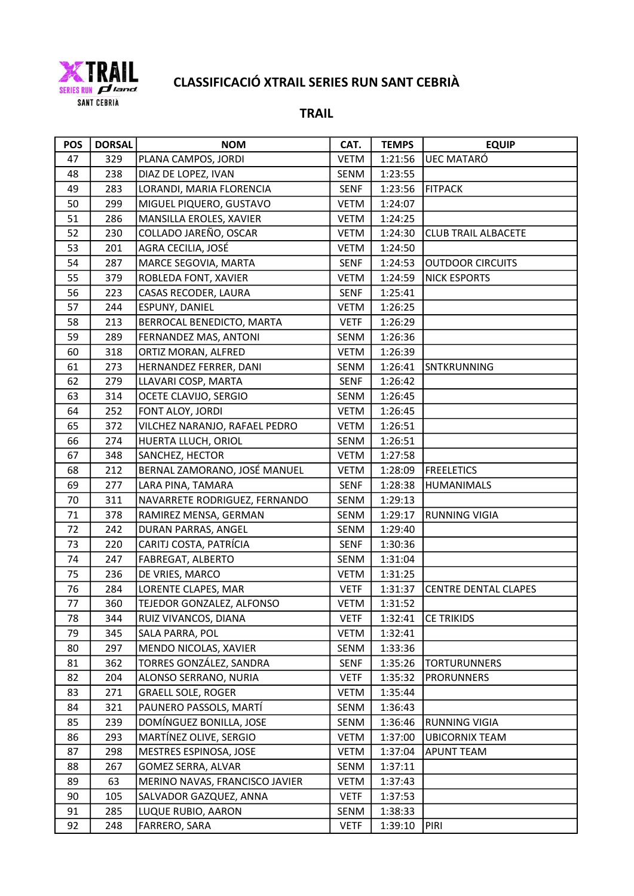

| <b>POS</b> | <b>DORSAL</b> | <b>NOM</b>                     | CAT.        | <b>TEMPS</b> | <b>EQUIP</b>                |
|------------|---------------|--------------------------------|-------------|--------------|-----------------------------|
| 47         | 329           | PLANA CAMPOS, JORDI            | <b>VETM</b> | 1:21:56      | UEC MATARÓ                  |
| 48         | 238           | DIAZ DE LOPEZ, IVAN            | SENM        | 1:23:55      |                             |
| 49         | 283           | LORANDI, MARIA FLORENCIA       | <b>SENF</b> | 1:23:56      | FITPACK                     |
| 50         | 299           | MIGUEL PIQUERO, GUSTAVO        | <b>VETM</b> | 1:24:07      |                             |
| 51         | 286           | MANSILLA EROLES, XAVIER        | VETM        | 1:24:25      |                             |
| 52         | 230           | COLLADO JAREÑO, OSCAR          | VETM        | 1:24:30      | <b>CLUB TRAIL ALBACETE</b>  |
| 53         | 201           | AGRA CECILIA, JOSÉ             | <b>VETM</b> | 1:24:50      |                             |
| 54         | 287           | MARCE SEGOVIA, MARTA           | <b>SENF</b> | 1:24:53      | <b>OUTDOOR CIRCUITS</b>     |
| 55         | 379           | ROBLEDA FONT, XAVIER           | VETM        | 1:24:59      | <b>NICK ESPORTS</b>         |
| 56         | 223           | CASAS RECODER, LAURA           | <b>SENF</b> | 1:25:41      |                             |
| 57         | 244           | ESPUNY, DANIEL                 | <b>VETM</b> | 1:26:25      |                             |
| 58         | 213           | BERROCAL BENEDICTO, MARTA      | <b>VETF</b> | 1:26:29      |                             |
| 59         | 289           | FERNANDEZ MAS, ANTONI          | SENM        | 1:26:36      |                             |
| 60         | 318           | ORTIZ MORAN, ALFRED            | <b>VETM</b> | 1:26:39      |                             |
| 61         | 273           | HERNANDEZ FERRER, DANI         | SENM        | 1:26:41      | SNTKRUNNING                 |
| 62         | 279           | LLAVARI COSP, MARTA            | <b>SENF</b> | 1:26:42      |                             |
| 63         | 314           | OCETE CLAVIJO, SERGIO          | SENM        | 1:26:45      |                             |
| 64         | 252           | FONT ALOY, JORDI               | <b>VETM</b> | 1:26:45      |                             |
| 65         | 372           | VILCHEZ NARANJO, RAFAEL PEDRO  | VETM        | 1:26:51      |                             |
| 66         | 274           | HUERTA LLUCH, ORIOL            | SENM        | 1:26:51      |                             |
| 67         | 348           | SANCHEZ, HECTOR                | <b>VETM</b> | 1:27:58      |                             |
| 68         | 212           | BERNAL ZAMORANO, JOSÉ MANUEL   | VETM        | 1:28:09      | <b>FREELETICS</b>           |
| 69         | 277           | LARA PINA, TAMARA              | <b>SENF</b> | 1:28:38      | <b>HUMANIMALS</b>           |
| 70         | 311           | NAVARRETE RODRIGUEZ, FERNANDO  | SENM        | 1:29:13      |                             |
| 71         | 378           | RAMIREZ MENSA, GERMAN          | SENM        | 1:29:17      | <b>RUNNING VIGIA</b>        |
| 72         | 242           | DURAN PARRAS, ANGEL            | SENM        | 1:29:40      |                             |
| 73         | 220           | CARITJ COSTA, PATRÍCIA         | <b>SENF</b> | 1:30:36      |                             |
| 74         | 247           | FABREGAT, ALBERTO              | SENM        | 1:31:04      |                             |
| 75         | 236           | DE VRIES, MARCO                | <b>VETM</b> | 1:31:25      |                             |
| 76         | 284           | LORENTE CLAPES, MAR            | <b>VETF</b> | 1:31:37      | <b>CENTRE DENTAL CLAPES</b> |
| 77         | 360           | TEJEDOR GONZALEZ, ALFONSO      | <b>VETM</b> | 1:31:52      |                             |
| 78         | 344           | RUIZ VIVANCOS, DIANA           | <b>VETF</b> | 1:32:41      | <b>CE TRIKIDS</b>           |
| 79         | 345           | SALA PARRA, POL                | <b>VETM</b> | 1:32:41      |                             |
| 80         | 297           | MENDO NICOLAS, XAVIER          | SENM        | 1:33:36      |                             |
| 81         | 362           | TORRES GONZÁLEZ, SANDRA        | SENF        | 1:35:26      | <b>TORTURUNNERS</b>         |
| 82         | 204           | ALONSO SERRANO, NURIA          | <b>VETF</b> | 1:35:32      | <b>PRORUNNERS</b>           |
| 83         | 271           | <b>GRAELL SOLE, ROGER</b>      | VETM        | 1:35:44      |                             |
| 84         | 321           | PAUNERO PASSOLS, MARTÍ         | SENM        | 1:36:43      |                             |
| 85         | 239           | DOMÍNGUEZ BONILLA, JOSE        | SENM        | 1:36:46      | <b>RUNNING VIGIA</b>        |
| 86         | 293           | MARTÍNEZ OLIVE, SERGIO         | VETM        | 1:37:00      | <b>UBICORNIX TEAM</b>       |
| 87         | 298           | MESTRES ESPINOSA, JOSE         | <b>VETM</b> | 1:37:04      | <b>APUNT TEAM</b>           |
| 88         | 267           | GOMEZ SERRA, ALVAR             | SENM        | 1:37:11      |                             |
| 89         | 63            | MERINO NAVAS, FRANCISCO JAVIER | <b>VETM</b> | 1:37:43      |                             |
| 90         | 105           | SALVADOR GAZQUEZ, ANNA         | <b>VETF</b> | 1:37:53      |                             |
| 91         | 285           | LUQUE RUBIO, AARON             | SENM        | 1:38:33      |                             |
| 92         | 248           | FARRERO, SARA                  | <b>VETF</b> | 1:39:10      | PIRI                        |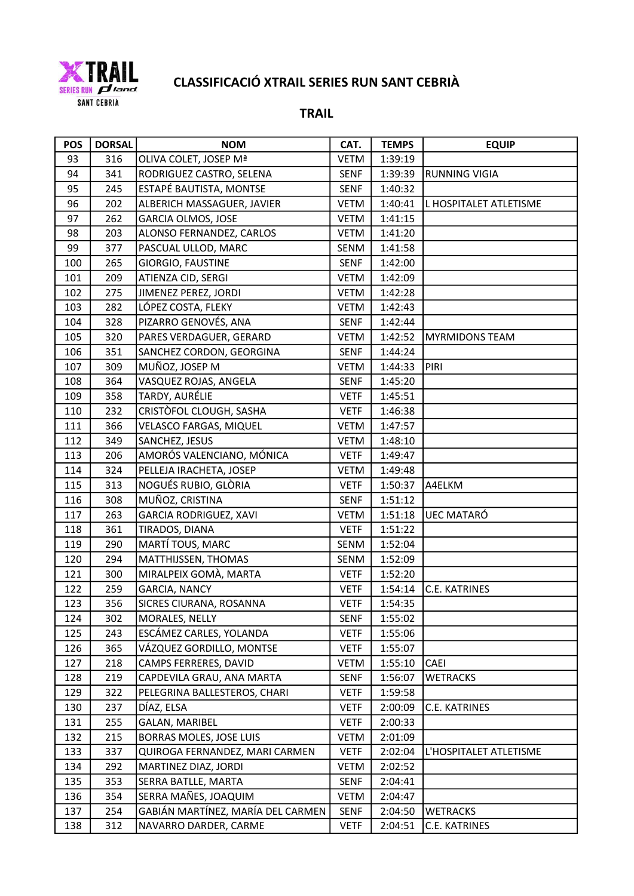

| <b>POS</b> | <b>DORSAL</b> | <b>NOM</b>                        | CAT.        | <b>TEMPS</b> | <b>EQUIP</b>           |
|------------|---------------|-----------------------------------|-------------|--------------|------------------------|
| 93         | 316           | OLIVA COLET, JOSEP Mª             | <b>VETM</b> | 1:39:19      |                        |
| 94         | 341           | RODRIGUEZ CASTRO, SELENA          | <b>SENF</b> | 1:39:39      | <b>RUNNING VIGIA</b>   |
| 95         | 245           | ESTAPÉ BAUTISTA, MONTSE           | <b>SENF</b> | 1:40:32      |                        |
| 96         | 202           | ALBERICH MASSAGUER, JAVIER        | <b>VETM</b> | 1:40:41      | L HOSPITALET ATLETISME |
| 97         | 262           | GARCIA OLMOS, JOSE                | <b>VETM</b> | 1:41:15      |                        |
| 98         | 203           | ALONSO FERNANDEZ, CARLOS          | <b>VETM</b> | 1:41:20      |                        |
| 99         | 377           | PASCUAL ULLOD, MARC               | SENM        | 1:41:58      |                        |
| 100        | 265           | GIORGIO, FAUSTINE                 | <b>SENF</b> | 1:42:00      |                        |
| 101        | 209           | ATIENZA CID, SERGI                | <b>VETM</b> | 1:42:09      |                        |
| 102        | 275           | JIMENEZ PEREZ, JORDI              | <b>VETM</b> | 1:42:28      |                        |
| 103        | 282           | LÓPEZ COSTA, FLEKY                | <b>VETM</b> | 1:42:43      |                        |
| 104        | 328           | PIZARRO GENOVÉS, ANA              | <b>SENF</b> | 1:42:44      |                        |
| 105        | 320           | PARES VERDAGUER, GERARD           | <b>VETM</b> | 1:42:52      | <b>MYRMIDONS TEAM</b>  |
| 106        | 351           | SANCHEZ CORDON, GEORGINA          | <b>SENF</b> | 1:44:24      |                        |
| 107        | 309           | MUÑOZ, JOSEP M                    | <b>VETM</b> | 1:44:33      | PIRI                   |
| 108        | 364           | VASQUEZ ROJAS, ANGELA             | <b>SENF</b> | 1:45:20      |                        |
| 109        | 358           | TARDY, AURÉLIE                    | <b>VETF</b> | 1:45:51      |                        |
| 110        | 232           | CRISTÒFOL CLOUGH, SASHA           | <b>VETF</b> | 1:46:38      |                        |
| 111        | 366           | VELASCO FARGAS, MIQUEL            | <b>VETM</b> | 1:47:57      |                        |
| 112        | 349           | SANCHEZ, JESUS                    | <b>VETM</b> | 1:48:10      |                        |
| 113        | 206           | AMORÓS VALENCIANO, MÓNICA         | <b>VETF</b> | 1:49:47      |                        |
| 114        | 324           | PELLEJA IRACHETA, JOSEP           | <b>VETM</b> | 1:49:48      |                        |
| 115        | 313           | NOGUÉS RUBIO, GLÒRIA              | <b>VETF</b> | 1:50:37      | A4ELKM                 |
| 116        | 308           | MUÑOZ, CRISTINA                   | <b>SENF</b> | 1:51:12      |                        |
| 117        | 263           | GARCIA RODRIGUEZ, XAVI            | VETM        | 1:51:18      | UEC MATARÓ             |
| 118        | 361           | TIRADOS, DIANA                    | <b>VETF</b> | 1:51:22      |                        |
| 119        | 290           | MARTÍ TOUS, MARC                  | SENM        | 1:52:04      |                        |
| 120        | 294           | MATTHIJSSEN, THOMAS               | SENM        | 1:52:09      |                        |
| 121        | 300           | MIRALPEIX GOMÀ, MARTA             | <b>VETF</b> | 1:52:20      |                        |
| 122        | 259           | <b>GARCIA, NANCY</b>              | <b>VETF</b> | 1:54:14      | <b>C.E. KATRINES</b>   |
| 123        | 356           | SICRES CIURANA, ROSANNA           | <b>VETF</b> | 1:54:35      |                        |
| 124        | 302           | MORALES, NELLY                    | <b>SENF</b> | 1:55:02      |                        |
| 125        | 243           | ESCÁMEZ CARLES, YOLANDA           | <b>VETF</b> | 1:55:06      |                        |
| 126        | 365           | VÁZQUEZ GORDILLO, MONTSE          | <b>VETF</b> | 1:55:07      |                        |
| 127        | 218           | CAMPS FERRERES, DAVID             | <b>VETM</b> | 1:55:10      | CAEI                   |
| 128        | 219           | CAPDEVILA GRAU, ANA MARTA         | <b>SENF</b> | 1:56:07      | <b>WETRACKS</b>        |
| 129        | 322           | PELEGRINA BALLESTEROS, CHARI      | <b>VETF</b> | 1:59:58      |                        |
| 130        | 237           | DÍAZ, ELSA                        | <b>VETF</b> | 2:00:09      | C.E. KATRINES          |
| 131        | 255           | <b>GALAN, MARIBEL</b>             | <b>VETF</b> | 2:00:33      |                        |
| 132        | 215           | BORRAS MOLES, JOSE LUIS           | VETM        | 2:01:09      |                        |
| 133        | 337           | QUIROGA FERNANDEZ, MARI CARMEN    | <b>VETF</b> | 2:02:04      | L'HOSPITALET ATLETISME |
| 134        | 292           | MARTINEZ DIAZ, JORDI              | <b>VETM</b> | 2:02:52      |                        |
| 135        | 353           | SERRA BATLLE, MARTA               | <b>SENF</b> | 2:04:41      |                        |
| 136        | 354           | SERRA MAÑES, JOAQUIM              | <b>VETM</b> | 2:04:47      |                        |
| 137        | 254           | GABIÁN MARTÍNEZ, MARÍA DEL CARMEN | SENF        | 2:04:50      | <b>WETRACKS</b>        |
| 138        | 312           | NAVARRO DARDER, CARME             | <b>VETF</b> | 2:04:51      | C.E. KATRINES          |